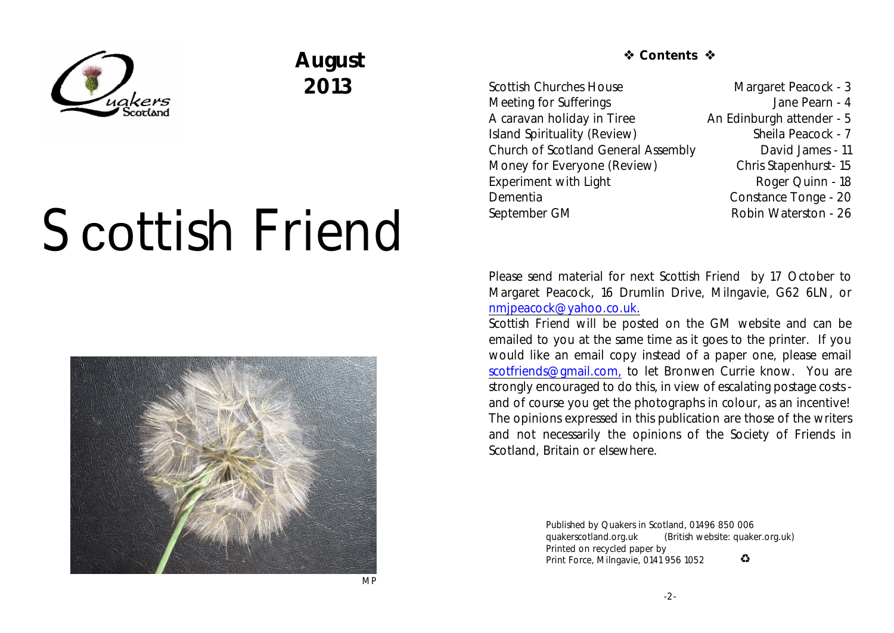

# **August 2013**

# Scottish Friend



*S* Contents �

Scottish Churches House Margaret Peacock - 3 Meeting for Sufferings **Meeting** Superings Jane Pearn - 4 A caravan holiday in Tiree An Edinburgh attender - 5 Island Spirituality (Review) Sheila Peacock - 7 Church of Scotland General Assembly David James - 11 Money for Everyone (Review) Chris Stapenhurst- 15 Experiment with Light Roger Quinn - 18 Dementia Constance Tonge - 20 September GM Robin Waterston - 26

Please send material for next *Scottish Friend* by 17 October to Margaret Peacock, 16 Drumlin Drive, Milngavie, G62 6LN, or [nmjpeacock@yahoo.co.uk.](mailto:nmjpeacock@yahoo.co.uk.)

*Scottish Friend* will be posted on the GM website and can be emailed to you at the same time as it goes to the printer. If you would like an email copy instead of a paper one, please email [scotfriends@gmail.com,](mailto:scotfriends@aol.com,) to let Bronwen Currie know. You are strongly encouraged to do this, in view of escalating postage costs and of course you get the photographs in colour, as an incentive! The opinions expressed in this publication are those of the writers and not necessarily the opinions of the Society of Friends in Scotland, Britain or elsewhere.

> Published by Quakers in Scotland, 01496 850 006 quakerscotland.org.uk (British website: quaker.org.uk) Printed on recycled paper by  $\bullet$ Print Force, Milngavie, 0141 956 1052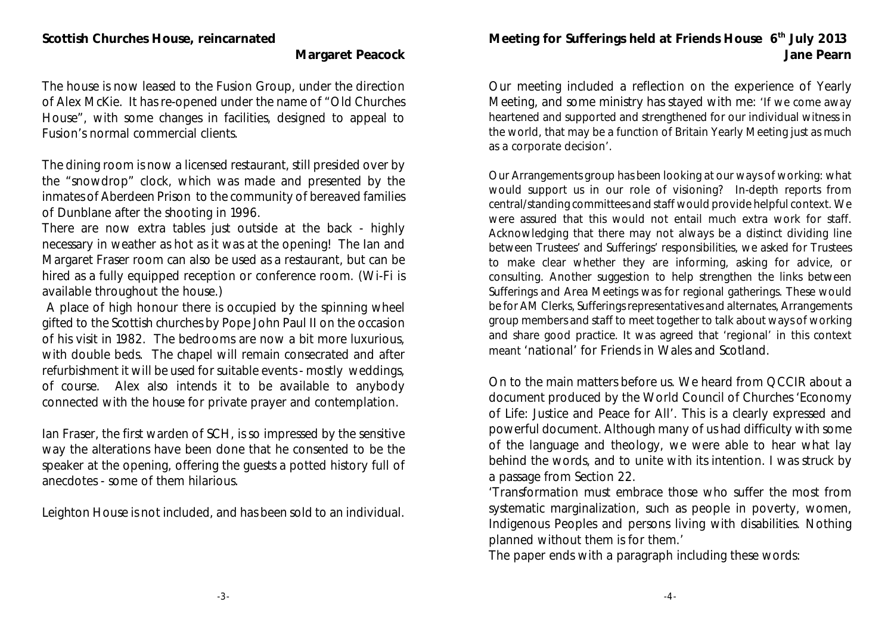#### **Margaret Peacock**

The house is now leased to the Fusion Group, under the direction of Alex McKie. It has re-opened under the name of "Old Churches House", with some changes in facilities, designed to appeal to Fusion's normal commercial clients.

The dining room is now a licensed restaurant, still presided over by the "snowdrop" clock, which was made and presented by the inmates of Aberdeen Prison to the community of bereaved families of Dunblane after the shooting in 1996.

There are now extra tables just outside at the back - highly necessary in weather as hot as it was at the opening! The Ian and Margaret Fraser room can also be used as a restaurant, but can be hired as a fully equipped reception or conference room. (Wi-Fi is available throughout the house.)

 A place of high honour there is occupied by the spinning wheel gifted to the Scottish churches by Pope John Paul II on the occasion of his visit in 1982. The bedrooms are now a bit more luxurious, with double beds. The chapel will remain consecrated and after refurbishment it will be used for suitable events - mostly weddings, of course. Alex also intends it to be available to anybody connected with the house for private prayer and contemplation.

Ian Fraser, the first warden of SCH, is so impressed by the sensitive way the alterations have been done that he consented to be the speaker at the opening, offering the guests a potted history full of anecdotes - some of them hilarious.

Leighton House is not included, and has been sold to an individual.

Meeting for Sufferings held at Friends House 6<sup>th</sup> July 2013 **Jane Pearn**

Our meeting included a reflection on the experience of Yearly Meeting, and some ministry has stayed with me: 'If we come away heartened and supported and strengthened for our individual witness in the world, that may be a function of Britain Yearly Meeting just as much as a corporate decision'.

Our Arrangements group has been looking at our ways of working: what would support us in our role of visioning? In-depth reports from central/standing committees and staff would provide helpful context. We were assured that this would not entail much extra work for staff. Acknowledging that there may not always be a distinct dividing line between Trustees' and Sufferings' responsibilities, we asked for Trustees to make clear whether they are informing, asking for advice, or consulting. Another suggestion to help strengthen the links between Sufferings and Area Meetings was for regional gatherings. These would be for AM Clerks, Sufferings representatives and alternates, Arrangements group members and staff to meet together to talk about ways of working and share good practice. It was agreed that 'regional' in this context meant 'national' for Friends in Wales and Scotland.

On to the main matters before us. We heard from QCCIR about a document produced by the World Council of Churches 'Economy of Life: Justice and Peace for All'. This is a clearly expressed and powerful document. Although many of us had difficulty with some of the language and theology, we were able to hear what lay behind the words, and to unite with its intention. I was struck by a passage from Section 22.

'Transformation must embrace those who suffer the most from systematic marginalization, such as people in poverty, women, Indigenous Peoples and persons living with disabilities. Nothing planned without them is for them.'

The paper ends with a paragraph including these words: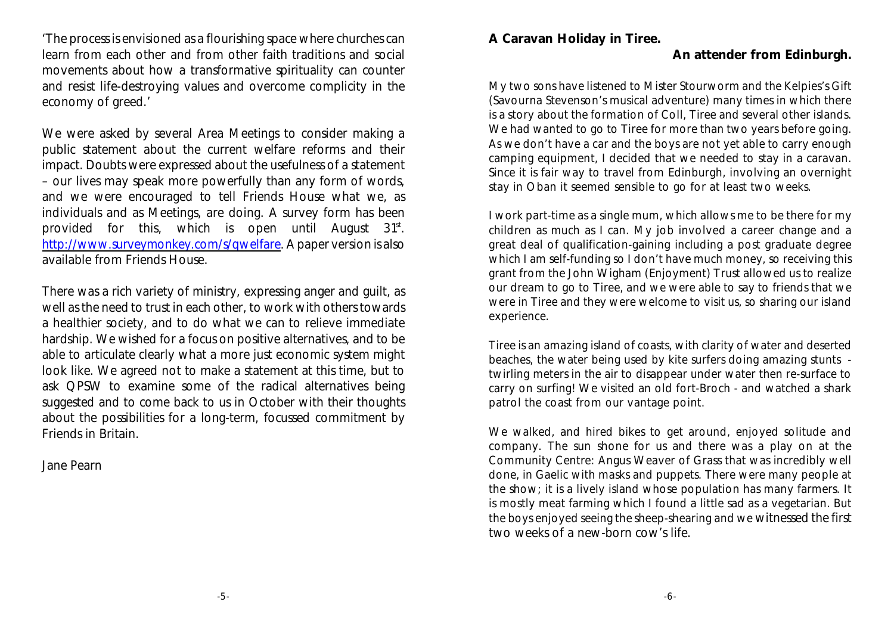'The process is envisioned as a flourishing space where churches can learn from each other and from other faith traditions and social movements about how a transformative spirituality can counter and resist life-destroying values and overcome complicity in the economy of greed.'

We were asked by several Area Meetings to consider making a public statement about the current welfare reforms and their impact. Doubts were expressed about the usefulness of a statement – our lives may speak more powerfully than any form of words, and we were encouraged to tell Friends House what we, as individuals and as Meetings, are doing. A survey form has been provided for this, which is open until August  $31^{st}$ . <http://www.surveymonkey.com/s/qwelfare>. A paper version is also available from Friends House.

There was a rich variety of ministry, expressing anger and guilt, as well as the need to trust in each other, to work with others towards a healthier society, and to do what we can to relieve immediate hardship. We wished for a focus on positive alternatives, and to be able to articulate clearly what a more just economic system might look like. We agreed not to make a statement at this time, but to ask QPSW to examine some of the radical alternatives being suggested and to come back to us in October with their thoughts about the possibilities for a long-term, focussed commitment by Friends in Britain.

Jane Pearn

**A Caravan Holiday in Tiree.**

#### **An attender from Edinburgh.**

My two sons have listened to Mister Stourworm and the Kelpies's Gift (Savourna Stevenson's musical adventure) many times in which there is a story about the formation of Coll, Tiree and several other islands. We had wanted to go to Tiree for more than two years before going. As we don't have a car and the boys are not yet able to carry enough camping equipment, I decided that we needed to stay in a caravan. Since it is fair way to travel from Edinburgh, involving an overnight stay in Oban it seemed sensible to go for at least two weeks.

I work part-time as a single mum, which allows me to be there for my children as much as I can. My job involved a career change and a great deal of qualification-gaining including a post graduate degree which I am self-funding so I don't have much money, so receiving this grant from the John Wigham (Enjoyment) Trust allowed us to realize our dream to go to Tiree, and we were able to say to friends that we were in Tiree and they were welcome to visit us, so sharing our island experience.

Tiree is an amazing island of coasts, with clarity of water and deserted beaches, the water being used by kite surfers doing amazing stunts twirling meters in the air to disappear under water then re-surface to carry on surfing! We visited an old fort-Broch - and watched a shark patrol the coast from our vantage point.

We walked, and hired bikes to get around, enjoyed solitude and company. The sun shone for us and there was a play on at the Community Centre: Angus Weaver of Grass that was incredibly well done, in Gaelic with masks and puppets. There were many people at the show; it is a lively island whose population has many farmers. It is mostly meat farming which I found a little sad as a vegetarian. But the boys enjoyed seeing the sheep-shearing and we witnessed the first two weeks of a new-born cow's life.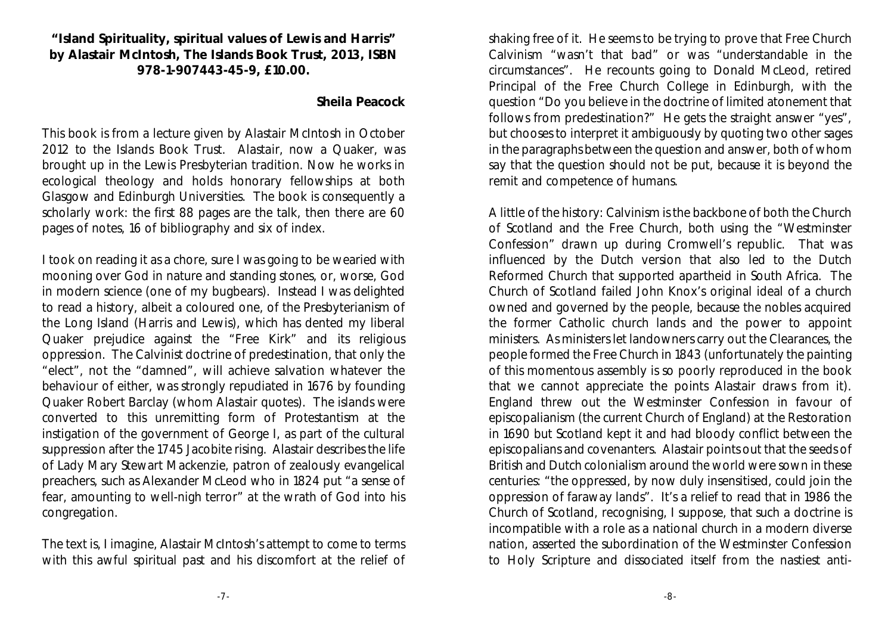**"Island Spirituality, spiritual values of Lewis and Harris" by Alastair McIntosh, The Islands Book Trust, 2013, ISBN 978-1-907443-45-9, £10.00.**

#### **Sheila Peacock**

This book is from a lecture given by Alastair McIntosh in October 2012 to the Islands Book Trust. Alastair, now a Quaker, was brought up in the Lewis Presbyterian tradition. Now he works in ecological theology and holds honorary fellowships at both Glasgow and Edinburgh Universities. The book is consequently a scholarly work: the first 88 pages are the talk, then there are 60 pages of notes, 16 of bibliography and six of index.

I took on reading it as a chore, sure I was going to be wearied with mooning over God in nature and standing stones, or, worse, God in modern science (one of my bugbears). Instead I was delighted to read a history, albeit a coloured one, of the Presbyterianism of the Long Island (Harris and Lewis), which has dented my liberal Quaker prejudice against the "Free Kirk" and its religious oppression. The Calvinist doctrine of predestination, that only the "elect", not the "damned", will achieve salvation whatever the behaviour of either, was strongly repudiated in 1676 by founding Quaker Robert Barclay (whom Alastair quotes). The islands were converted to this unremitting form of Protestantism at the instigation of the government of George I, as part of the cultural suppression after the 1745 Jacobite rising. Alastair describes the life of Lady Mary Stewart Mackenzie, patron of zealously evangelical preachers, such as Alexander McLeod who in 1824 put "a sense of fear, amounting to well-nigh terror" at the wrath of God into his congregation.

The text is, I imagine, Alastair McIntosh's attempt to come to terms with this awful spiritual past and his discomfort at the relief of shaking free of it. He seems to be trying to prove that Free Church Calvinism "wasn't that bad" or was "understandable in the circumstances". He recounts going to Donald McLeod, retired Principal of the Free Church College in Edinburgh, with the question "Do you believe in the doctrine of limited atonement that follows from predestination?" He gets the straight answer "yes", but chooses to interpret it ambiguously by quoting two other sages in the paragraphs between the question and answer, both of whom say that the question should not be put, because it is beyond the remit and competence of humans.

A little of the history: Calvinism is the backbone of both the Church of Scotland and the Free Church, both using the "Westminster Confession" drawn up during Cromwell's republic. That was influenced by the Dutch version that also led to the Dutch Reformed Church that supported apartheid in South Africa. The Church of Scotland failed John Knox's original ideal of a church owned and governed by the people, because the nobles acquired the former Catholic church lands and the power to appoint ministers. As ministers let landowners carry out the Clearances, the people formed the Free Church in 1843 (unfortunately the painting of this momentous assembly is so poorly reproduced in the book that we cannot appreciate the points Alastair draws from it). England threw out the Westminster Confession in favour of episcopalianism (the current Church of England) at the Restoration in 1690 but Scotland kept it and had bloody conflict between the episcopalians and covenanters. Alastair points out that the seeds of British and Dutch colonialism around the world were sown in these centuries: "the oppressed, by now duly insensitised, could join the oppression of faraway lands". It's a relief to read that in 1986 the Church of Scotland, recognising, I suppose, that such a doctrine is incompatible with a role as a national church in a modern diverse nation, asserted the subordination of the Westminster Confession to Holy Scripture and dissociated itself from the nastiest anti-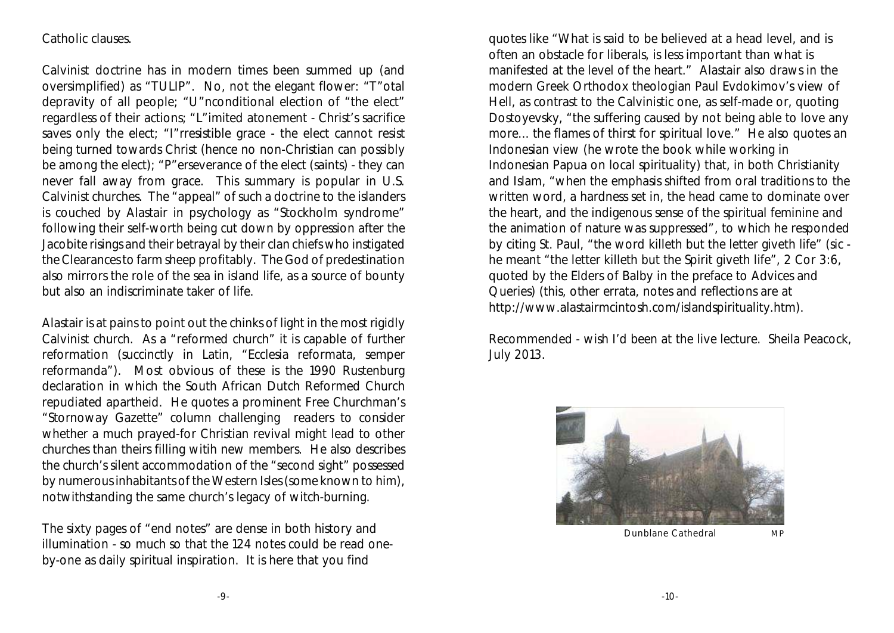#### Catholic clauses.

Calvinist doctrine has in modern times been summed up (and oversimplified) as "TULIP". No, not the elegant flower: "T"otal depravity of all people; "U"nconditional election of "the elect" regardless of their actions; "L"imited atonement - Christ's sacrifice saves only the elect; "I"rresistible grace - the elect cannot resist being turned towards Christ (hence no non-Christian can possibly be among the elect); "P"erseverance of the elect (saints) - they can never fall away from grace. This summary is popular in U.S. Calvinist churches. The "appeal" of such a doctrine to the islanders is couched by Alastair in psychology as "Stockholm syndrome" following their self-worth being cut down by oppression after the Jacobite risings and their betrayal by their clan chiefs who instigated the Clearances to farm sheep profitably. The God of predestination also mirrors the role of the sea in island life, as a source of bounty but also an indiscriminate taker of life.

Alastair is at pains to point out the chinks of light in the most rigidly Calvinist church. As a "reformed church" it is capable of further reformation (succinctly in Latin, "Ecclesia reformata, semper reformanda"). Most obvious of these is the 1990 Rustenburg declaration in which the South African Dutch Reformed Church repudiated apartheid. He quotes a prominent Free Churchman's "Stornoway Gazette" column challenging readers to consider whether a much prayed-for Christian revival might lead to other churches than theirs filling witih new members. He also describes the church's silent accommodation of the "second sight" possessed by numerous inhabitants of the Western Isles(some known to him), notwithstanding the same church's legacy of witch-burning.

The sixty pages of "end notes" are dense in both history and illumination - so much so that the 124 notes could be read oneby-one as daily spiritual inspiration. It is here that you find

quotes like "What is said to be believed at a head level, and is often an obstacle for liberals, is less important than what is manifested at the level of the heart." Alastair also draws in the modern Greek Orthodox theologian Paul Evdokimov's view of Hell, as contrast to the Calvinistic one, as self-made or, quoting Dostoyevsky, "the suffering caused by not being able to love any more... the flames of thirst for spiritual love." He also quotes an Indonesian view (he wrote the book while working in Indonesian Papua on local spirituality) that, in both Christianity and Islam, "when the emphasis shifted from oral traditions to the written word, a hardness set in, the head came to dominate over the heart, and the indigenous sense of the spiritual feminine and the animation of nature was suppressed", to which he responded by citing St. Paul, "the word killeth but the letter giveth life" (sic he meant "the letter killeth but the Spirit giveth life", 2 Cor 3:6, quoted by the Elders of Balby in the preface to Advices and Queries) (this, other errata, notes and reflections are at http://www.alastairmcintosh.com/islandspirituality.htm).

Recommended - wish I'd been at the live lecture. Sheila Peacock, July 2013.



Dunblane Cathedral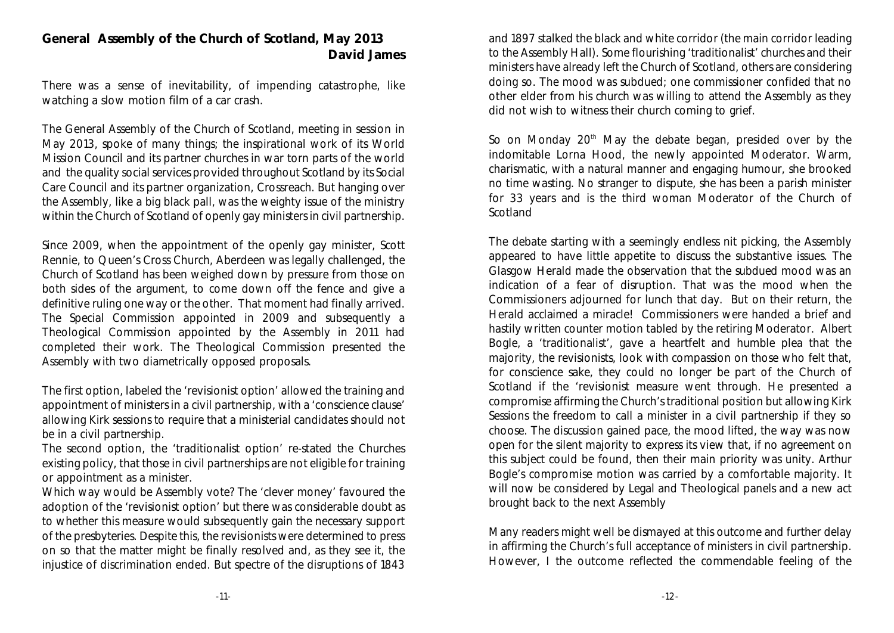#### **General Assembly of the Church of Scotland, May 2013 David James**

There was a sense of inevitability, of impending catastrophe, like watching a slow motion film of a car crash.

The General Assembly of the Church of Scotland, meeting in session in May 2013, spoke of many things; the inspirational work of its World Mission Council and its partner churches in war torn parts of the world and the quality social services provided throughout Scotland by its Social Care Council and its partner organization, Crossreach. But hanging over the Assembly, like a big black pall, was the weighty issue of the ministry within the Church of Scotland of openly gay ministers in civil partnership.

Since 2009, when the appointment of the openly gay minister, Scott Rennie, to Queen's Cross Church, Aberdeen was legally challenged, the Church of Scotland has been weighed down by pressure from those on both sides of the argument, to come down off the fence and give a definitive ruling one way or the other. That moment had finally arrived. The Special Commission appointed in 2009 and subsequently a Theological Commission appointed by the Assembly in 2011 had completed their work. The Theological Commission presented the Assembly with two diametrically opposed proposals.

The first option, labeled the 'revisionist option' allowed the training and appointment of ministers in a civil partnership, with a 'conscience clause' allowing Kirk sessions to require that a ministerial candidates should not be in a civil partnership.

The second option, the 'traditionalist option' re-stated the Churches existing policy, that those in civil partnerships are not eligible for training or appointment as a minister.

Which way would be Assembly vote? The 'clever money' favoured the adoption of the 'revisionist option' but there was considerable doubt as to whether this measure would subsequently gain the necessary support of the presbyteries. Despite this, the revisionists were determined to press on so that the matter might be finally resolved and, as they see it, the injustice of discrimination ended. But spectre of the disruptions of 1843

and 1897 stalked the black and white corridor (the main corridor leading to the Assembly Hall). Some flourishing 'traditionalist' churches and their ministers have already left the Church of Scotland, others are considering doing so. The mood was subdued; one commissioner confided that no other elder from his church was willing to attend the Assembly as they did not wish to witness their church coming to grief.

So on Monday  $20<sup>th</sup>$  May the debate began, presided over by the indomitable Lorna Hood, the newly appointed Moderator. Warm, charismatic, with a natural manner and engaging humour, she brooked no time wasting. No stranger to dispute, she has been a parish minister for 33 years and is the third woman Moderator of the Church of Scotland

The debate starting with a seemingly endless nit picking, the Assembly appeared to have little appetite to discuss the substantive issues. The Glasgow Herald made the observation that the subdued mood was an indication of a fear of disruption. That was the mood when the Commissioners adjourned for lunch that day. But on their return, the Herald acclaimed a miracle! Commissioners were handed a brief and hastily written counter motion tabled by the retiring Moderator. Albert Bogle, a 'traditionalist', gave a heartfelt and humble plea that the majority, the revisionists, look with compassion on those who felt that, for conscience sake, they could no longer be part of the Church of Scotland if the 'revisionist measure went through. He presented a compromise affirming the Church's traditional position but allowing Kirk Sessions the freedom to call a minister in a civil partnership if they so choose. The discussion gained pace, the mood lifted, the way was now open for the silent majority to express its view that, if no agreement on this subject could be found, then their main priority was unity. Arthur Bogle's compromise motion was carried by a comfortable majority. It will now be considered by Legal and Theological panels and a new act brought back to the next Assembly

Many readers might well be dismayed at this outcome and further delay in affirming the Church's full acceptance of ministers in civil partnership. However, I the outcome reflected the commendable feeling of the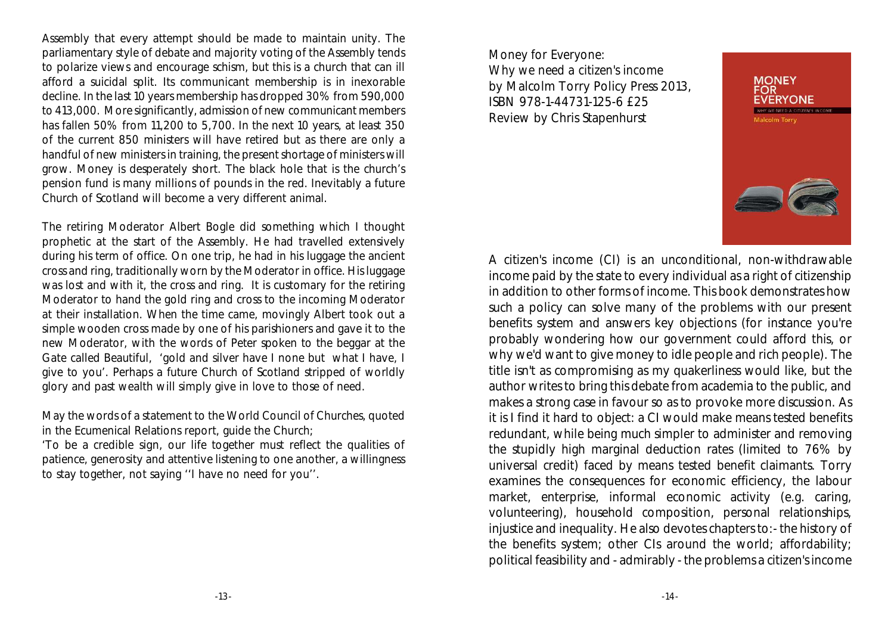Assembly that every attempt should be made to maintain unity. The parliamentary style of debate and majority voting of the Assembly tends to polarize views and encourage schism, but this is a church that can ill afford a suicidal split. Its communicant membership is in inexorable decline. In the last 10 years membership has dropped 30% from 590,000 to 413,000. More significantly, admission of new communicant members has fallen 50% from 11,200 to 5,700. In the next 10 years, at least 350 of the current 850 ministers will have retired but as there are only a handful of new ministers in training, the present shortage of ministers will grow. Money is desperately short. The black hole that is the church's pension fund is many millions of pounds in the red. Inevitably a future Church of Scotland will become a very different animal.

The retiring Moderator Albert Bogle did something which I thought prophetic at the start of the Assembly. He had travelled extensively during his term of office. On one trip, he had in his luggage the ancient cross and ring, traditionally worn by the Moderator in office. His luggage was lost and with it, the cross and ring. It is customary for the retiring Moderator to hand the gold ring and cross to the incoming Moderator at their installation. When the time came, movingly Albert took out a simple wooden cross made by one of his parishioners and gave it to the new Moderator, with the words of Peter spoken to the beggar at the Gate called Beautiful, 'gold and silver have I none but what I have, I give to you'. Perhaps a future Church of Scotland stripped of worldly glory and past wealth will simply give in love to those of need.

May the words of a statement to the World Council of Churches, quoted in the Ecumenical Relations report, guide the Church;

'To be a credible sign, our life together must reflect the qualities of patience, generosity and attentive listening to one another, a willingness to stay together, not saying ''I have no need for you''.

*Money for Everyone: Why we need a citizen's income* by Malcolm Torry Policy Press 2013, ISBN 978-1-44731-125-6 £25 Review by Chris Stapenhurst



A citizen's income (CI) is an unconditional, non-withdrawable income paid by the state to every individual as a right of citizenship in addition to other forms of income. This book demonstrates how such a policy can solve many of the problems with our present benefits system and answers key objections (for instance you're probably wondering how our government could afford this, or why we'd want to give money to idle people and rich people). The title isn't as compromising as my quakerliness would like, but the author writes to bring this debate from academia to the public, and makes a strong case in favour so as to provoke more discussion. As it is I find it hard to object: a CI would make means tested benefits redundant, while being much simpler to administer and removing the stupidly high marginal deduction rates (limited to 76% by universal credit) faced by means tested benefit claimants. Torry examines the consequences for economic efficiency, the labour market, enterprise, informal economic activity (e.g. caring, volunteering), household composition, personal relationships, injustice and inequality. He also devotes chapters to:- the history of the benefits system; other CIs around the world; affordability; political feasibility and - admirably - the problems a citizen's income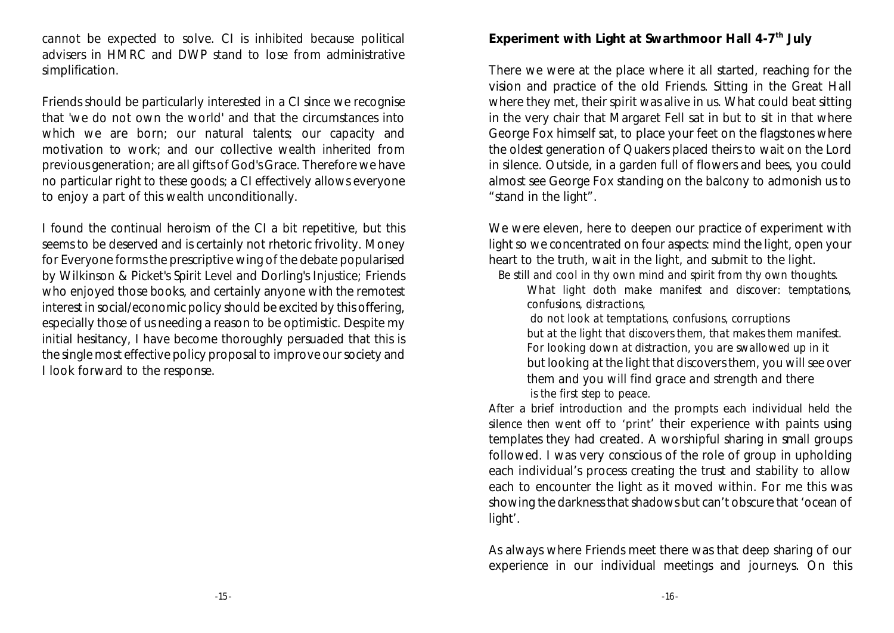*cannot* be expected to solve. CI is inhibited because political advisers in HMRC and DWP stand to lose from administrative simplification.

Friends should be particularly interested in a CI since we recognise that 'we do not own the world' and that the circumstances into which we are born; our natural talents; our capacity and motivation to work; and our collective wealth inherited from previous generation; are all gifts of God's Grace. Therefore we have no particular *right* to these goods; a CI effectively allows everyone to enjoy a part of this wealth unconditionally.

I found the continual heroism of the CI a bit repetitive, but this seems to be deserved and is certainly not rhetoric frivolity. Money for Everyone forms the prescriptive wing of the debate popularised by Wilkinson & Picket's *Spirit Level* and Dorling's *Injustice*; Friends who enjoyed those books, and certainly anyone with the remotest interest in social/economic policy should be excited by this offering, especially those of us needing a reason to be optimistic. Despite my initial hesitancy, I have become thoroughly persuaded that this is the single most effective policy proposal to improve our society and I look forward to the response.

**Experiment with Light at Swarthmoor Hall 4-7<sup>th</sup> July** 

There we were at the place where it all started, reaching for the vision and practice of the old Friends. Sitting in the Great Hall where they met, their spirit was alive in us. What could beat sitting in the very chair that Margaret Fell sat in but to sit in that where George Fox himself sat, to place your feet on the flagstones where the oldest generation of Quakers placed theirs to wait on the Lord in silence. Outside, in a garden full of flowers and bees, you could almost see George Fox standing on the balcony to admonish us to "stand in the light".

We were eleven, here to deepen our practice of experiment with light so we concentrated on four aspects: mind the light, open your heart to the truth, wait in the light, and submit to the light.

*Be still and cool in thy own mind and spirit from thy own thoughts. What light doth make manifest and discover: temptations, confusions, distractions,*

 *do not look at temptations, confusions, corruptions but at the light that discovers them, that makes them manifest. For looking down at distraction, you are swallowed up in it but looking at the light that discovers them, you will see over them and you will find grace and strength and there is the first step to peace.*

After a brief introduction and the prompts each individual held the silence then went off to 'print' their experience with paints using templates they had created. A worshipful sharing in small groups followed. I was very conscious of the role of group in upholding each individual's process creating the trust and stability to allow each to encounter the light as it moved within. For me this was showing the darkness that shadows but can't obscure that 'ocean of light'.

As always where Friends meet there was that deep sharing of our experience in our individual meetings and journeys. On this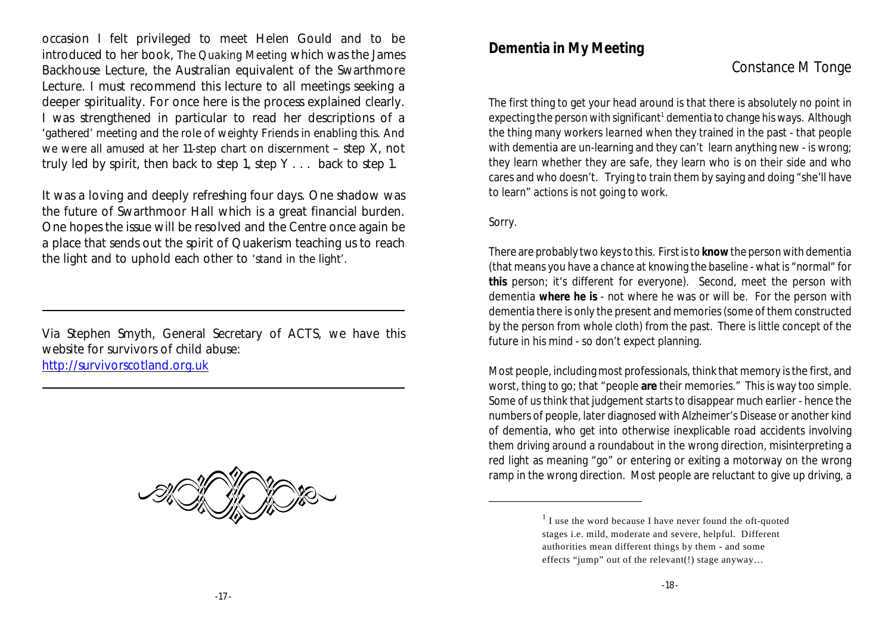occasion I felt privileged to meet Helen Gould and to be introduced to her book, *The Quaking Meeting* which was the James Backhouse Lecture, the Australian equivalent of the Swarthmore Lecture. I must recommend this lecture to all meetings seeking a deeper spirituality. For once here is the process explained clearly. I was strengthened in particular to read her descriptions of a 'gathered' meeting and the role of weighty Friends in enabling this. And we were all amused at her 11-step chart on discernment – step X, not truly led by spirit, then back to step 1, step Y . . . back to step 1.

It was a loving and deeply refreshing four days. One shadow was the future of Swarthmoor Hall which is a great financial burden. One hopes the issue will be resolved and the Centre once again be a place that sends out the spirit of Quakerism teaching us to reach the light and to uphold each other to 'stand in the light'.

Via Stephen Smyth, General Secretary of ACTS, we have this website for survivors of child abuse: <http://survivorscotland.org.uk>



## **Dementia in My Meeting**

## Constance M Tonge

The first thing to get your head around is that there is absolutely no point in expecting the person with significant<sup>1</sup> dementia to change his ways. Although the thing many workers learned when they trained in the past - that people with dementia are un-learning and they can't learn anything new - is wrong; they learn whether they are safe, they learn who is on their side and who cares and who doesn't. Trying to train them by saying and doing "she'll have to learn" actions is not going to work.

Sorry.

There are probably two keys to this. Firstis to **know** the person with dementia (that means you have a chance at knowing the baseline - what is "normal" for **this** person; it's different for everyone). Second, meet the person with dementia **where he is** - not where he was or will be. For the person with dementia there is only the present and memories (some of them constructed by the person from whole cloth) from the past. There is little concept of the future in his mind - so don't expect planning.

Most people, including most professionals, think that memory is the first, and worst, thing to go; that "people **are** their memories." This is way too simple. Some of us think that judgement starts to disappear much earlier - hence the numbers of people, later diagnosed with Alzheimer's Disease or another kind of dementia, who get into otherwise inexplicable road accidents involving them driving around a roundabout in the wrong direction, misinterpreting a red light as meaning "go" or entering or exiting a motorway on the wrong ramp in the wrong direction. Most people are reluctant to give up driving, a

 $<sup>1</sup>$  I use the word because I have never found the oft-quoted</sup> stages i.e. mild, moderate and severe, helpful. Different authorities mean different things by them - and some effects "jump" out of the relevant(!) stage anyway…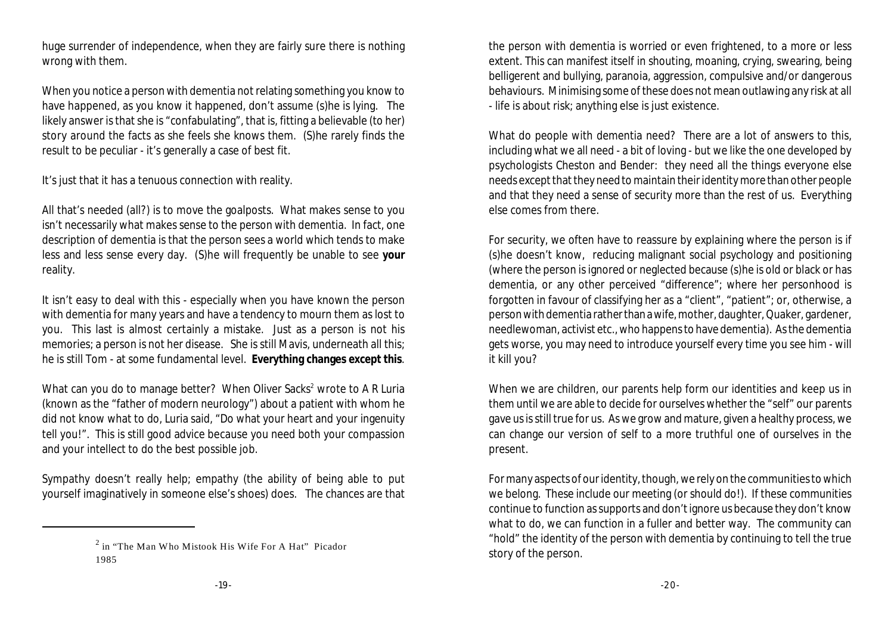huge surrender of independence, when they are fairly sure there is nothing wrong with them.

When you notice a person with dementia not relating something you know to have happened, as you know it happened, don't assume (s)he is lying. The likely answer is that she is "confabulating", that is, fitting a believable (to her) story around the facts as she feels she knows them. (S)he rarely finds the result to be peculiar - it's generally a case of best fit.

It's just that it has a tenuous connection with reality.

All that's needed (all?) is to move the goalposts. What makes sense to you isn't necessarily what makes sense to the person with dementia. In fact, one description of dementia is that the person sees a world which tends to make less and less sense every day. (S)he will frequently be unable to see **your** reality.

It isn't easy to deal with this - especially when you have known the person with dementia for many years and have a tendency to mourn them as lost to you. This last is almost certainly a mistake. Just as a person is not his memories; a person is not her disease. She is still Mavis, underneath all this; he is still Tom - at some fundamental level. **Everything changes except this**.

What can you do to manage better? When Oliver Sacks<sup>2</sup> wrote to A R Luria (known as the "father of modern neurology") about a patient with whom he did not know what to do, Luria said, "Do what your heart and your ingenuity tell you!". This is still good advice because you need both your compassion and your intellect to do the best possible job.

Sympathy doesn't really help; empathy (the ability of being able to put yourself imaginatively in someone else's shoes) does. The chances are that the person with dementia is worried or even frightened, to a more or less extent. This can manifest itself in shouting, moaning, crying, swearing, being belligerent and bullying, paranoia, aggression, compulsive and/or dangerous behaviours. Minimising some of these does not mean outlawing any risk at all - life is about risk; anything else is just existence.

What do people with dementia need? There are a lot of answers to this, including what we all need - a bit of loving - but we like the one developed by psychologists Cheston and Bender: they need all the things everyone else needs except that they need to maintain their identity more than other people and that they need a sense of security more than the rest of us. Everything else comes from there.

For security, we often have to reassure by explaining where the person is if (s)he doesn't know, reducing malignant social psychology and positioning (where the person is ignored or neglected because (s)he is old or black or has dementia, or any other perceived "difference"; where her personhood is forgotten in favour of classifying her as a "client", "patient"; or, otherwise, a person with dementia rather than a wife, mother, daughter, Quaker, gardener, needlewoman, activist etc., who happens to have dementia). As the dementia gets worse, you may need to introduce yourself every time you see him - will it kill you?

When we are children, our parents help form our identities and keep us in them until we are able to decide for ourselves whether the "self" our parents gave us is still true for us. As we grow and mature, given a healthy process, we can change our version of self to a more truthful one of ourselves in the present.

For many aspects of our identity, though, we rely on the communities to which we belong. These include our meeting (or should do!). If these communities continue to function as supports and don't ignore us because they don't know what to do, we can function in a fuller and better way. The community can "hold" the identity of the person with dementia by continuing to tell the true story of the person.

 $2$  in "The Man Who Mistook His Wife For A Hat" Picador 1985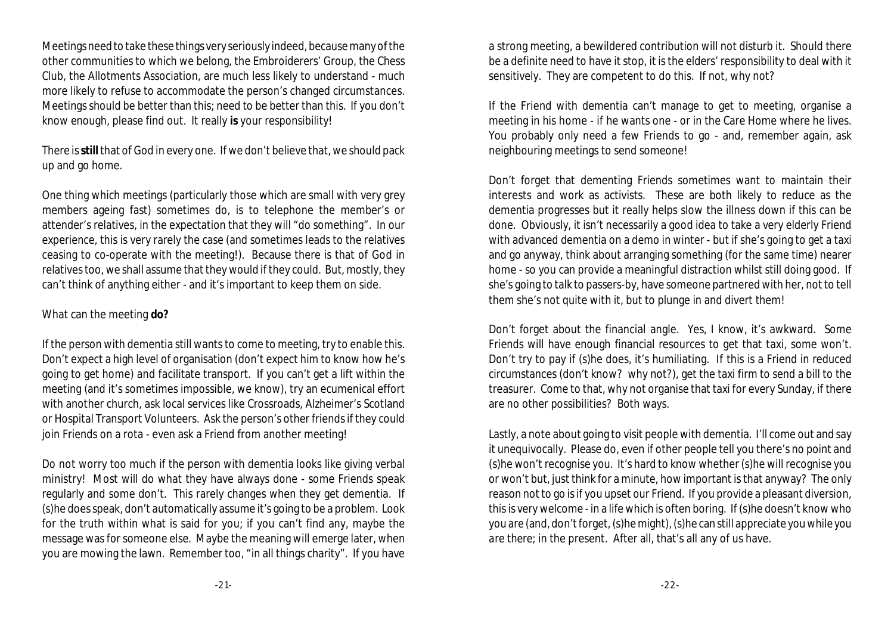Meetings need to take these things very seriously indeed, because many of the other communities to which we belong, the Embroiderers' Group, the Chess Club, the Allotments Association, are much less likely to understand - much more likely to refuse to accommodate the person's changed circumstances. Meetings should be better than this; need to be better than this. If you don't know enough, please find out. It really **is** your responsibility!

There is**still** that of God in every one. If we don't believe that, we should pack up and go home.

One thing which meetings (particularly those which are small with very grey members ageing fast) sometimes do, is to telephone the member's or attender's relatives, in the expectation that they will "do something". In our experience, this is very rarely the case (and sometimes leads to the relatives ceasing to co-operate with the meeting!). Because there is that of God in relatives too, we shall assume that they would if they could. But, mostly, they can't think of anything either - and it's important to keep them on side.

#### What can the meeting **do?**

If the person with dementia still wants to come to meeting, try to enable this. Don't expect a high level of organisation (don't expect him to know how he's going to get home) and facilitate transport. If you can't get a lift within the meeting (and it's sometimes impossible, we know), try an ecumenical effort with another church, ask local services like Crossroads, Alzheimer's Scotland or Hospital Transport Volunteers. Ask the person's other friends if they could join Friends on a rota - even ask a Friend from another meeting!

Do not worry too much if the person with dementia looks like giving verbal ministry! Most will do what they have always done - some Friends speak regularly and some don't. This rarely changes when they get dementia. If (s)he does speak, don't automatically assume it's going to be a problem. Look for the truth within what is said for you; if you can't find any, maybe the message was for someone else. Maybe the meaning will emerge later, when you are mowing the lawn. Remember too, "in all things charity". If you have a strong meeting, a bewildered contribution will not disturb it. Should there be a definite need to have it stop, it is the elders' responsibility to deal with it sensitively. They are competent to do this. If not, why not?

If the Friend with dementia can't manage to get to meeting, organise a meeting in his home - if he wants one - or in the Care Home where he lives. You probably only need a few Friends to go - and, remember again, ask neighbouring meetings to send someone!

Don't forget that dementing Friends sometimes want to maintain their interests and work as activists. These are both likely to reduce as the dementia progresses but it really helps slow the illness down if this can be done. Obviously, it isn't necessarily a good idea to take a very elderly Friend with advanced dementia on a demo in winter - but if she's going to get a taxi and go anyway, think about arranging something (for the same time) nearer home - so you can provide a meaningful distraction whilst still doing good. If she's going to talk to passers-by, have someone partnered with her, not to tell them she's not quite with it, but to plunge in and divert them!

Don't forget about the financial angle. Yes, I know, it's awkward. Some Friends will have enough financial resources to get that taxi, some won't. Don't try to pay if (s)he does, it's humiliating. If this is a Friend in reduced circumstances (don't know? why not?), get the taxi firm to send a bill to the treasurer. Come to that, why not organise that taxi for every Sunday, if there are no other possibilities? Both ways.

Lastly, a note about going to visit people with dementia. I'll come out and say it unequivocally. Please do, even if other people tell you there's no point and (s)he won't recognise you. It's hard to know whether (s)he will recognise you or won't but, just think for a minute, how important is that anyway? The only reason not to go is if you upset our Friend. If you provide a pleasant diversion, this is very welcome - in a life which is often boring. If (s)he doesn't know who you are (and, don't forget, (s)he might), (s)he can still appreciate you *while you are there;* in the present*.* After all, that's all any of us have.